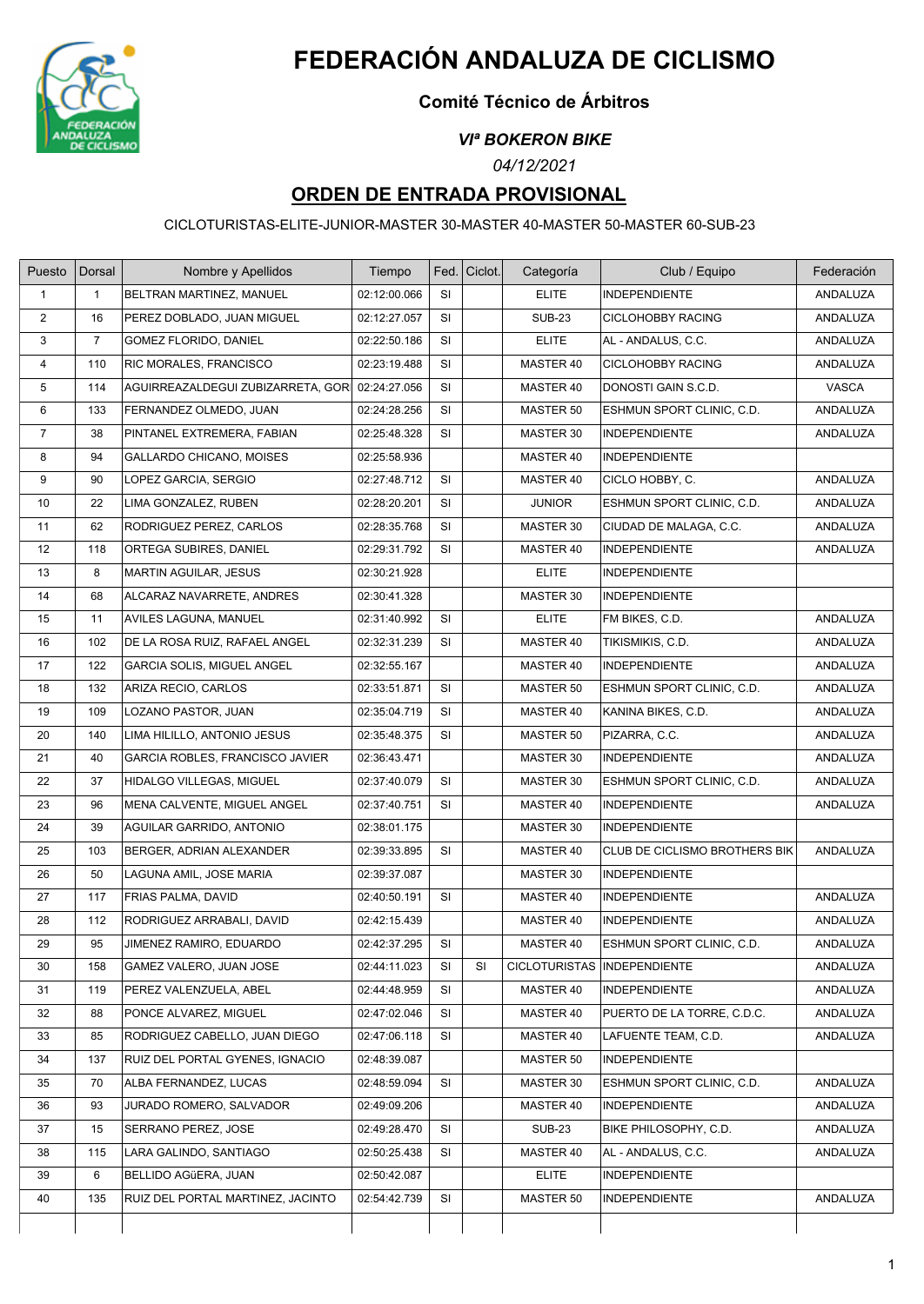

# **FEDERACIÓN ANDALUZA DE CICLISMO**

### **Comité Técnico de Árbitros**

#### *VIª BOKERON BIKE*

*04/12/2021*

## **ORDEN DE ENTRADA PROVISIONAL**

CICLOTURISTAS-ELITE-JUNIOR-MASTER 30-MASTER 40-MASTER 50-MASTER 60-SUB-23

| Puesto         | Dorsal         | Nombre y Apellidos                | Tiempo       | Fed.      | Ciclot. | Categoría                     | Club / Equipo                 | Federación |
|----------------|----------------|-----------------------------------|--------------|-----------|---------|-------------------------------|-------------------------------|------------|
| $\mathbf{1}$   | 1              | BELTRAN MARTINEZ, MANUEL          | 02:12:00.066 | SI        |         | <b>ELITE</b>                  | <b>INDEPENDIENTE</b>          | ANDALUZA   |
| 2              | 16             | PEREZ DOBLADO, JUAN MIGUEL        | 02:12:27.057 | <b>SI</b> |         | <b>SUB-23</b>                 | CICLOHOBBY RACING             | ANDALUZA   |
| 3              | $\overline{7}$ | GOMEZ FLORIDO, DANIEL             | 02:22:50.186 | SI        |         | <b>ELITE</b>                  | AL - ANDALUS, C.C.            | ANDALUZA   |
| $\overline{4}$ | 110            | RIC MORALES, FRANCISCO            | 02:23:19.488 | <b>SI</b> |         | MASTER 40                     | <b>CICLOHOBBY RACING</b>      | ANDALUZA   |
| 5              | 114            | AGUIRREAZALDEGUI ZUBIZARRETA, GOR | 02:24:27.056 | SI        |         | MASTER 40                     | DONOSTI GAIN S.C.D.           | VASCA      |
| 6              | 133            | FERNANDEZ OLMEDO, JUAN            | 02:24:28.256 | SI        |         | MASTER 50                     | ESHMUN SPORT CLINIC, C.D.     | ANDALUZA   |
| $\overline{7}$ | 38             | PINTANEL EXTREMERA, FABIAN        | 02:25:48.328 | SI        |         | MASTER 30                     | <b>INDEPENDIENTE</b>          | ANDALUZA   |
| 8              | 94             | GALLARDO CHICANO, MOISES          | 02:25:58.936 |           |         | MASTER 40                     | <b>INDEPENDIENTE</b>          |            |
| 9              | 90             | LOPEZ GARCIA, SERGIO              | 02:27:48.712 | <b>SI</b> |         | MASTER 40                     | CICLO HOBBY, C.               | ANDALUZA   |
| 10             | 22             | LIMA GONZALEZ, RUBEN              | 02:28:20.201 | <b>SI</b> |         | <b>JUNIOR</b>                 | ESHMUN SPORT CLINIC, C.D.     | ANDALUZA   |
| 11             | 62             | RODRIGUEZ PEREZ, CARLOS           | 02:28:35.768 | SI        |         | MASTER 30                     | CIUDAD DE MALAGA, C.C.        | ANDALUZA   |
| 12             | 118            | ORTEGA SUBIRES, DANIEL            | 02:29:31.792 | <b>SI</b> |         | MASTER 40                     | <b>INDEPENDIENTE</b>          | ANDALUZA   |
| 13             | 8              | MARTIN AGUILAR, JESUS             | 02:30:21.928 |           |         | <b>ELITE</b>                  | <b>INDEPENDIENTE</b>          |            |
| 14             | 68             | ALCARAZ NAVARRETE, ANDRES         | 02:30:41.328 |           |         | MASTER 30                     | <b>INDEPENDIENTE</b>          |            |
| 15             | 11             | AVILES LAGUNA, MANUEL             | 02:31:40.992 | <b>SI</b> |         | <b>ELITE</b>                  | FM BIKES, C.D.                | ANDALUZA   |
| 16             | 102            | DE LA ROSA RUIZ, RAFAEL ANGEL     | 02:32:31.239 | <b>SI</b> |         | MASTER 40                     | TIKISMIKIS, C.D.              | ANDALUZA   |
| 17             | 122            | <b>GARCIA SOLIS, MIGUEL ANGEL</b> | 02:32:55.167 |           |         | MASTER 40                     | <b>INDEPENDIENTE</b>          | ANDALUZA   |
| 18             | 132            | ARIZA RECIO, CARLOS               | 02:33:51.871 | SI        |         | MASTER 50                     | ESHMUN SPORT CLINIC, C.D.     | ANDALUZA   |
| 19             | 109            | LOZANO PASTOR, JUAN               | 02:35:04.719 | SI        |         | MASTER 40                     | KANINA BIKES, C.D.            | ANDALUZA   |
| 20             | 140            | LIMA HILILLO, ANTONIO JESUS       | 02:35:48.375 | SI        |         | MASTER 50                     | PIZARRA, C.C.                 | ANDALUZA   |
| 21             | 40             | GARCIA ROBLES, FRANCISCO JAVIER   | 02:36:43.471 |           |         | MASTER 30                     | <b>INDEPENDIENTE</b>          | ANDALUZA   |
| 22             | 37             | HIDALGO VILLEGAS, MIGUEL          | 02:37:40.079 | SI        |         | MASTER 30                     | ESHMUN SPORT CLINIC, C.D.     | ANDALUZA   |
| 23             | 96             | MENA CALVENTE, MIGUEL ANGEL       | 02:37:40.751 | SI        |         | MASTER 40                     | <b>INDEPENDIENTE</b>          | ANDALUZA   |
| 24             | 39             | AGUILAR GARRIDO, ANTONIO          | 02:38:01.175 |           |         | MASTER 30                     | <b>INDEPENDIENTE</b>          |            |
| 25             | 103            | BERGER, ADRIAN ALEXANDER          | 02:39:33.895 | SI        |         | MASTER 40                     | CLUB DE CICLISMO BROTHERS BIK | ANDALUZA   |
| 26             | 50             | LAGUNA AMIL, JOSE MARIA           | 02:39:37.087 |           |         | MASTER 30                     | <b>INDEPENDIENTE</b>          |            |
| 27             | 117            | FRIAS PALMA, DAVID                | 02:40:50.191 | SI        |         | MASTER 40                     | <b>INDEPENDIENTE</b>          | ANDALUZA   |
| 28             | 112            | RODRIGUEZ ARRABALI, DAVID         | 02:42:15.439 |           |         | MASTER 40                     | <b>INDEPENDIENTE</b>          | ANDALUZA   |
| 29             | 95             | JIMENEZ RAMIRO, EDUARDO           | 02:42:37.295 | SI        |         | MASTER 40                     | ESHMUN SPORT CLINIC, C.D.     | ANDALUZA   |
| 30             | 158            | GAMEZ VALERO, JUAN JOSE           | 02:44:11.023 | SI        | SI      | CICLOTURISTAS   INDEPENDIENTE |                               | ANDALUZA   |
| 31             | 119            | PEREZ VALENZUELA, ABEL            | 02:44:48.959 | SI        |         | MASTER 40                     | <b>INDEPENDIENTE</b>          | ANDALUZA   |
| 32             | 88             | PONCE ALVAREZ, MIGUEL             | 02:47:02.046 | SI        |         | MASTER 40                     | PUERTO DE LA TORRE, C.D.C.    | ANDALUZA   |
| 33             | 85             | RODRIGUEZ CABELLO, JUAN DIEGO     | 02:47:06.118 | SI        |         | MASTER 40                     | LAFUENTE TEAM, C.D.           | ANDALUZA   |
| 34             | 137            | RUIZ DEL PORTAL GYENES, IGNACIO   | 02:48:39.087 |           |         | MASTER 50                     | <b>INDEPENDIENTE</b>          |            |
| 35             | 70             | ALBA FERNANDEZ, LUCAS             | 02:48:59.094 | SI        |         | MASTER 30                     | ESHMUN SPORT CLINIC, C.D.     | ANDALUZA   |
| 36             | 93             | JURADO ROMERO, SALVADOR           | 02:49:09.206 |           |         | MASTER 40                     | <b>INDEPENDIENTE</b>          | ANDALUZA   |
| 37             | 15             | SERRANO PEREZ, JOSE               | 02:49:28.470 | SI        |         | <b>SUB-23</b>                 | BIKE PHILOSOPHY, C.D.         | ANDALUZA   |
| 38             | 115            | LARA GALINDO, SANTIAGO            | 02:50:25.438 | SI        |         | MASTER 40                     | AL - ANDALUS, C.C.            | ANDALUZA   |
| 39             | 6              | BELLIDO AGÜERA, JUAN              | 02:50:42.087 |           |         | <b>ELITE</b>                  | <b>INDEPENDIENTE</b>          |            |
| 40             | 135            | RUIZ DEL PORTAL MARTINEZ, JACINTO | 02:54:42.739 | SI        |         | MASTER 50                     | <b>INDEPENDIENTE</b>          | ANDALUZA   |
|                |                |                                   |              |           |         |                               |                               |            |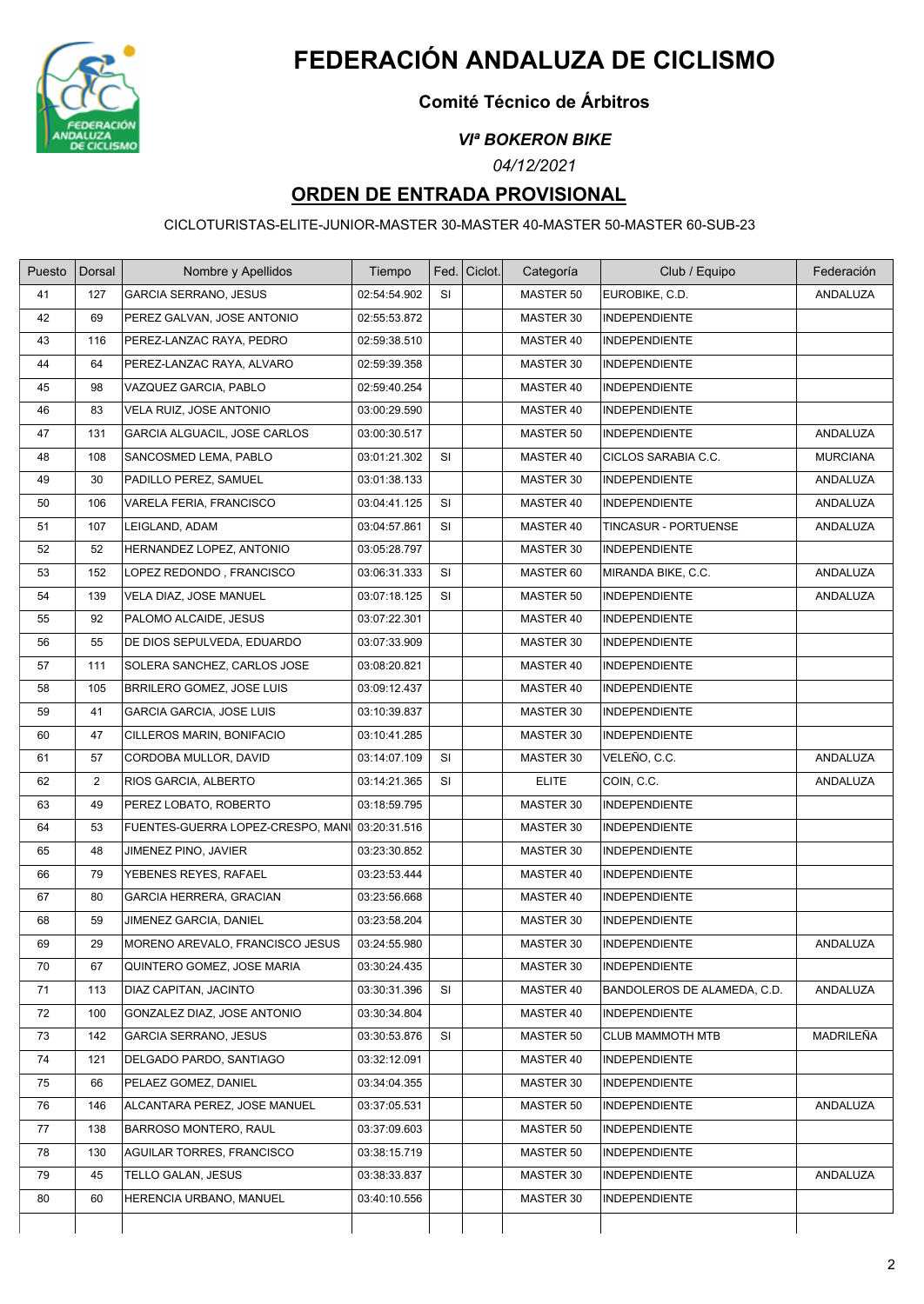

# **FEDERACIÓN ANDALUZA DE CICLISMO**

### **Comité Técnico de Árbitros**

#### *VIª BOKERON BIKE*

*04/12/2021*

## **ORDEN DE ENTRADA PROVISIONAL**

CICLOTURISTAS-ELITE-JUNIOR-MASTER 30-MASTER 40-MASTER 50-MASTER 60-SUB-23

| Puesto | Dorsal         | Nombre y Apellidos                | Tiempo       |           | Fed.   Ciclot. | Categoría    | Club / Equipo               | Federación      |
|--------|----------------|-----------------------------------|--------------|-----------|----------------|--------------|-----------------------------|-----------------|
| 41     | 127            | <b>GARCIA SERRANO, JESUS</b>      | 02:54:54.902 | SI        |                | MASTER 50    | EUROBIKE, C.D.              | ANDALUZA        |
| 42     | 69             | PEREZ GALVAN, JOSE ANTONIO        | 02:55:53.872 |           |                | MASTER 30    | INDEPENDIENTE               |                 |
| 43     | 116            | PEREZ-LANZAC RAYA, PEDRO          | 02:59:38.510 |           |                | MASTER 40    | <b>INDEPENDIENTE</b>        |                 |
| 44     | 64             | PEREZ-LANZAC RAYA, ALVARO         | 02:59:39.358 |           |                | MASTER 30    | INDEPENDIENTE               |                 |
| 45     | 98             | VAZQUEZ GARCIA, PABLO             | 02:59:40.254 |           |                | MASTER 40    | <b>INDEPENDIENTE</b>        |                 |
| 46     | 83             | VELA RUIZ, JOSE ANTONIO           | 03:00:29.590 |           |                | MASTER 40    | INDEPENDIENTE               |                 |
| 47     | 131            | GARCIA ALGUACIL, JOSE CARLOS      | 03:00:30.517 |           |                | MASTER 50    | <b>INDEPENDIENTE</b>        | ANDALUZA        |
| 48     | 108            | SANCOSMED LEMA, PABLO             | 03:01:21.302 | <b>SI</b> |                | MASTER 40    | CICLOS SARABIA C.C.         | <b>MURCIANA</b> |
| 49     | 30             | PADILLO PEREZ, SAMUEL             | 03:01:38.133 |           |                | MASTER 30    | <b>INDEPENDIENTE</b>        | ANDALUZA        |
| 50     | 106            | VARELA FERIA, FRANCISCO           | 03:04:41.125 | <b>SI</b> |                | MASTER 40    | <b>INDEPENDIENTE</b>        | ANDALUZA        |
| 51     | 107            | LEIGLAND, ADAM                    | 03:04:57.861 | SI        |                | MASTER 40    | TINCASUR - PORTUENSE        | ANDALUZA        |
| 52     | 52             | HERNANDEZ LOPEZ, ANTONIO          | 03:05:28.797 |           |                | MASTER 30    | <b>INDEPENDIENTE</b>        |                 |
| 53     | 152            | LOPEZ REDONDO, FRANCISCO          | 03:06:31.333 | <b>SI</b> |                | MASTER 60    | MIRANDA BIKE, C.C.          | ANDALUZA        |
| 54     | 139            | VELA DIAZ, JOSE MANUEL            | 03:07:18.125 | <b>SI</b> |                | MASTER 50    | INDEPENDIENTE               | ANDALUZA        |
| 55     | 92             | PALOMO ALCAIDE, JESUS             | 03:07:22.301 |           |                | MASTER 40    | <b>INDEPENDIENTE</b>        |                 |
| 56     | 55             | DE DIOS SEPULVEDA, EDUARDO        | 03:07:33.909 |           |                | MASTER 30    | <b>INDEPENDIENTE</b>        |                 |
| 57     | 111            | SOLERA SANCHEZ, CARLOS JOSE       | 03:08:20.821 |           |                | MASTER 40    | <b>INDEPENDIENTE</b>        |                 |
| 58     | 105            | BRRILERO GOMEZ, JOSE LUIS         | 03:09:12.437 |           |                | MASTER 40    | <b>INDEPENDIENTE</b>        |                 |
| 59     | 41             | <b>GARCIA GARCIA, JOSE LUIS</b>   | 03:10:39.837 |           |                | MASTER 30    | <b>INDEPENDIENTE</b>        |                 |
| 60     | 47             | CILLEROS MARIN, BONIFACIO         | 03:10:41.285 |           |                | MASTER 30    | <b>INDEPENDIENTE</b>        |                 |
| 61     | 57             | CORDOBA MULLOR, DAVID             | 03:14:07.109 | SI        |                | MASTER 30    | VELEÑO, C.C.                | ANDALUZA        |
| 62     | $\overline{2}$ | RIOS GARCIA, ALBERTO              | 03:14:21.365 | SI        |                | <b>ELITE</b> | COIN, C.C.                  | ANDALUZA        |
| 63     | 49             | PEREZ LOBATO, ROBERTO             | 03:18:59.795 |           |                | MASTER 30    | INDEPENDIENTE               |                 |
| 64     | 53             | FUENTES-GUERRA LOPEZ-CRESPO, MANI | 03:20:31.516 |           |                | MASTER 30    | <b>INDEPENDIENTE</b>        |                 |
| 65     | 48             | JIMENEZ PINO, JAVIER              | 03:23:30.852 |           |                | MASTER 30    | <b>INDEPENDIENTE</b>        |                 |
| 66     | 79             | YEBENES REYES, RAFAEL             | 03:23:53.444 |           |                | MASTER 40    | <b>INDEPENDIENTE</b>        |                 |
| 67     | 80             | GARCIA HERRERA, GRACIAN           | 03:23:56.668 |           |                | MASTER 40    | <b>INDEPENDIENTE</b>        |                 |
| 68     | 59             | JIMENEZ GARCIA, DANIEL            | 03:23:58.204 |           |                | MASTER 30    | <b>INDEPENDIENTE</b>        |                 |
| 69     | 29             | MORENO AREVALO, FRANCISCO JESUS   | 03:24:55.980 |           |                | MASTER 30    | <b>INDEPENDIENTE</b>        | ANDALUZA        |
| 70     | 67             | QUINTERO GOMEZ, JOSE MARIA        | 03:30:24.435 |           |                | MASTER 30    | <b>INDEPENDIENTE</b>        |                 |
| 71     | 113            | DIAZ CAPITAN, JACINTO             | 03:30:31.396 | SI        |                | MASTER 40    | BANDOLEROS DE ALAMEDA, C.D. | ANDALUZA        |
| 72     | 100            | GONZALEZ DIAZ, JOSE ANTONIO       | 03:30:34.804 |           |                | MASTER 40    | <b>INDEPENDIENTE</b>        |                 |
| 73     | 142            | GARCIA SERRANO, JESUS             | 03:30:53.876 | SI        |                | MASTER 50    | <b>CLUB MAMMOTH MTB</b>     | MADRILEÑA       |
| 74     | 121            | DELGADO PARDO, SANTIAGO           | 03:32:12.091 |           |                | MASTER 40    | <b>INDEPENDIENTE</b>        |                 |
| 75     | 66             | PELAEZ GOMEZ, DANIEL              | 03:34:04.355 |           |                | MASTER 30    | <b>INDEPENDIENTE</b>        |                 |
| 76     | 146            | ALCANTARA PEREZ, JOSE MANUEL      | 03:37:05.531 |           |                | MASTER 50    | <b>INDEPENDIENTE</b>        | ANDALUZA        |
| 77     | 138            | BARROSO MONTERO, RAUL             | 03:37:09.603 |           |                | MASTER 50    | INDEPENDIENTE               |                 |
| 78     | 130            | AGUILAR TORRES, FRANCISCO         | 03:38:15.719 |           |                | MASTER 50    | <b>INDEPENDIENTE</b>        |                 |
| 79     | 45             | TELLO GALAN, JESUS                | 03:38:33.837 |           |                | MASTER 30    | <b>INDEPENDIENTE</b>        | ANDALUZA        |
| 80     | 60             | HERENCIA URBANO, MANUEL           | 03:40:10.556 |           |                | MASTER 30    | <b>INDEPENDIENTE</b>        |                 |
|        |                |                                   |              |           |                |              |                             |                 |